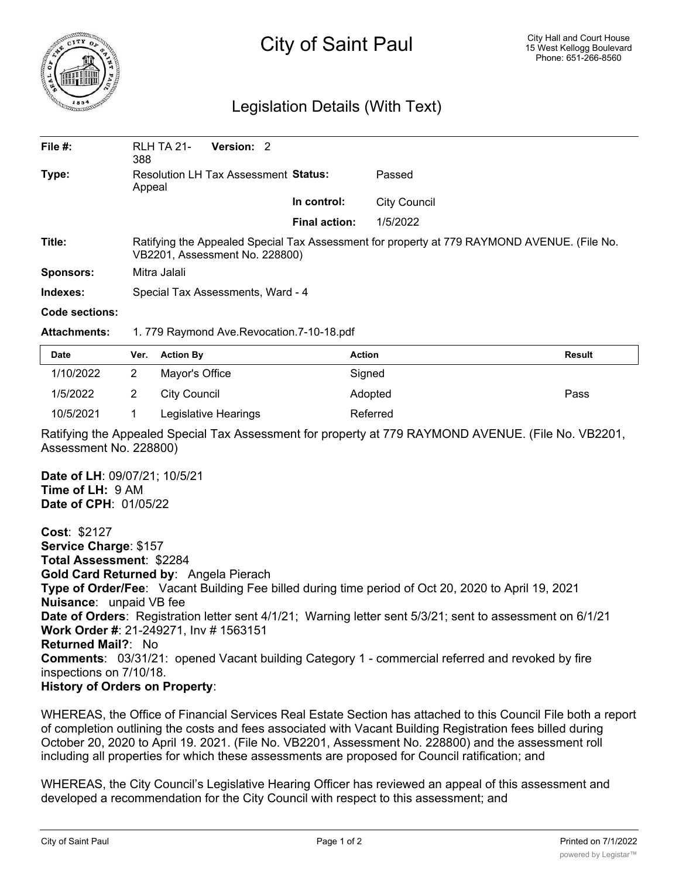

## City of Saint Paul

## Legislation Details (With Text)

| File $#$ :       | <b>RLH TA 21-</b><br>388                                                                                                      | Version: 2 |  |                      |                     |  |  |
|------------------|-------------------------------------------------------------------------------------------------------------------------------|------------|--|----------------------|---------------------|--|--|
| Type:            | Resolution LH Tax Assessment Status:<br>Appeal                                                                                |            |  | Passed               |                     |  |  |
|                  |                                                                                                                               |            |  | In control:          | <b>City Council</b> |  |  |
|                  |                                                                                                                               |            |  | <b>Final action:</b> | 1/5/2022            |  |  |
| Title:           | Ratifying the Appealed Special Tax Assessment for property at 779 RAYMOND AVENUE. (File No.<br>VB2201, Assessment No. 228800) |            |  |                      |                     |  |  |
| <b>Sponsors:</b> | Mitra Jalali                                                                                                                  |            |  |                      |                     |  |  |
| Indexes:         | Special Tax Assessments, Ward - 4                                                                                             |            |  |                      |                     |  |  |
| Code sections:   |                                                                                                                               |            |  |                      |                     |  |  |

**Attachments:** 1. 779 Raymond Ave.Revocation.7-10-18.pdf

| <b>Date</b> | Ver. Action By       | <b>Action</b> | Result |
|-------------|----------------------|---------------|--------|
| 1/10/2022   | Mayor's Office       | Signed        |        |
| 1/5/2022    | City Council         | Adopted       | Pass   |
| 10/5/2021   | Legislative Hearings | Referred      |        |

Ratifying the Appealed Special Tax Assessment for property at 779 RAYMOND AVENUE. (File No. VB2201, Assessment No. 228800)

**Date of LH**: 09/07/21; 10/5/21 **Time of LH:** 9 AM **Date of CPH**: 01/05/22

**Cost**: \$2127 **Service Charge**: \$157 **Total Assessment**: \$2284 **Gold Card Returned by**: Angela Pierach **Type of Order/Fee**: Vacant Building Fee billed during time period of Oct 20, 2020 to April 19, 2021 **Nuisance**: unpaid VB fee **Date of Orders**: Registration letter sent 4/1/21; Warning letter sent 5/3/21; sent to assessment on 6/1/21 **Work Order #**: 21-249271, Inv # 1563151 **Returned Mail?**: No **Comments**: 03/31/21: opened Vacant building Category 1 - commercial referred and revoked by fire inspections on 7/10/18. **History of Orders on Property**:

WHEREAS, the Office of Financial Services Real Estate Section has attached to this Council File both a report of completion outlining the costs and fees associated with Vacant Building Registration fees billed during October 20, 2020 to April 19. 2021. (File No. VB2201, Assessment No. 228800) and the assessment roll including all properties for which these assessments are proposed for Council ratification; and

WHEREAS, the City Council's Legislative Hearing Officer has reviewed an appeal of this assessment and developed a recommendation for the City Council with respect to this assessment; and